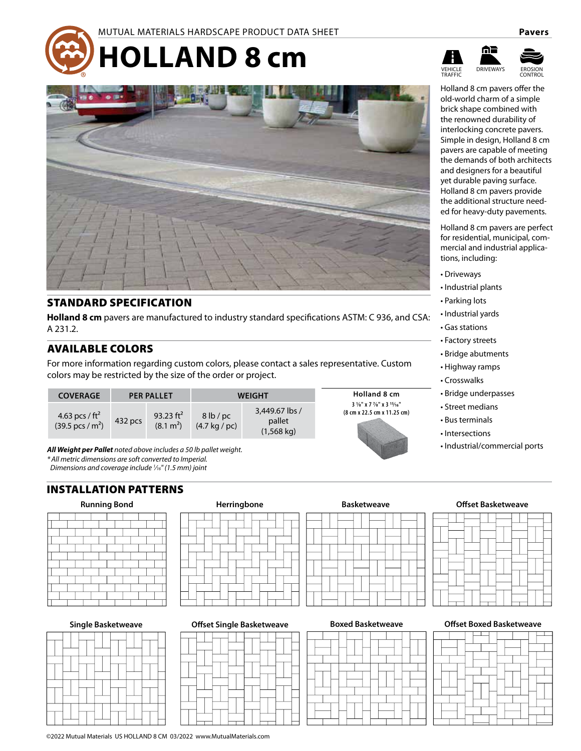



### STANDARD SPECIFICATION

**Holland 8 cm** pavers are manufactured to industry standard specifications ASTM: C 936, and CSA: A 231.2.

### AVAILABLE COLORS

For more information regarding custom colors, please contact a sales representative. Custom colors may be restricted by the size of the order or project.

| <b>COVERAGE</b>                                         | <b>PER PALLET</b> |                                       |                                           | WEIGHT                                           | <b>Holland 8 cm</b>                                                                       |  |
|---------------------------------------------------------|-------------------|---------------------------------------|-------------------------------------------|--------------------------------------------------|-------------------------------------------------------------------------------------------|--|
| 4.63 pcs / $ft^2$<br>$(39.5 \,\text{pcs} / \text{m}^2)$ | 432 pcs           | 93.23 $ft^2$<br>(8.1 m <sup>2</sup> ) | 8 lb/pc<br>$(4.7 \text{ kg} / \text{pc})$ | 3,449.67 lbs /<br>pallet<br>$(1,568 \text{ kg})$ | $3\frac{1}{8}$ " x 7 $\frac{7}{8}$ " x 3 $\frac{15}{16}$ "<br>(8 cm x 22.5 cm x 11.25 cm) |  |

*All Weight per Pallet noted above includes a 50 lb pallet weight. \* All metric dimensions are soft converted to Imperial.* 

*Dimensions and coverage include 1 ⁄16" (1.5 mm) joint*

## INSTALLATION PATTERNS



**Single Basketweave**



©2022 Mutual Materials US HOLLAND 8 CM 03/2022 www.MutualMaterials.com

|  | المحامل والمستحدث والمستراه المسار |  |  |
|--|------------------------------------|--|--|



**Herringbone Basketweave Offset Basketweave**

| DUXEU DASKELWEAVE |  |  |  |  |  |  |  |  |  |  |  |
|-------------------|--|--|--|--|--|--|--|--|--|--|--|
|                   |  |  |  |  |  |  |  |  |  |  |  |
|                   |  |  |  |  |  |  |  |  |  |  |  |
|                   |  |  |  |  |  |  |  |  |  |  |  |
|                   |  |  |  |  |  |  |  |  |  |  |  |
|                   |  |  |  |  |  |  |  |  |  |  |  |
|                   |  |  |  |  |  |  |  |  |  |  |  |
|                   |  |  |  |  |  |  |  |  |  |  |  |
|                   |  |  |  |  |  |  |  |  |  |  |  |
|                   |  |  |  |  |  |  |  |  |  |  |  |
|                   |  |  |  |  |  |  |  |  |  |  |  |
|                   |  |  |  |  |  |  |  |  |  |  |  |
|                   |  |  |  |  |  |  |  |  |  |  |  |

**Offset Single Basketweave Boxed Basketweave Offset Boxed Basketweave**



**TRADITION** CONTROL

Holland 8 cm pavers offer the old-world charm of a simple brick shape combined with the renowned durability of interlocking concrete pavers. Simple in design, Holland 8 cm pavers are capable of meeting the demands of both architects and designers for a beautiful yet durable paving surface. Holland 8 cm pavers provide the additional structure needed for heavy-duty pavements.

Holland 8 cm pavers are perfect for residential, municipal, commercial and industrial applications, including:

- Driveways
- Industrial plants
- Parking lots
- Industrial yards
- Gas stations
- Factory streets
- Bridge abutments
- Highway ramps
- Crosswalks
- Bridge underpasses
- Street medians
- Bus terminals
- Intersections
- Industrial/commercial ports